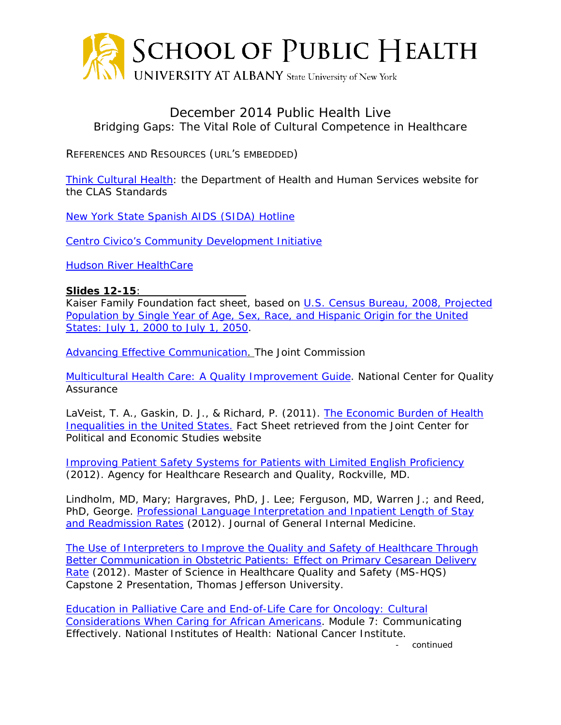

## December 2014 Public Health Live Bridging Gaps: The Vital Role of Cultural Competence in Healthcare

REFERENCES AND RESOURCES (URL'S EMBEDDED)

[Think Cultural Health:](https://www.thinkculturalhealth.hhs.gov/Content/clas.asp) the Department of Health and Human Services website for the CLAS Standards

[New York State Spanish AIDS \(SIDA\) Hotline](http://centrocivico.org/en/activities/spanish-hivaids-hotline.html)

[Centro Civico's Community Development Initiative](http://centrocivico.org/en/activities/community-development-initiative.html)

[Hudson River HealthCare](http://www.hrhcare.org/health-centers/)

## **Slides 12-15**:

Kaiser Family Foundation fact sheet, based on [U.S. Census Bureau, 2008, Projected](http://www.census.gov/population/www/projections/downloadablefiles.html)  [Population by Single Year of Age, Sex, Race, and Hispanic Origin for the United](http://www.census.gov/population/www/projections/downloadablefiles.html)  [States: July 1, 2000 to July 1, 2050.](http://www.census.gov/population/www/projections/downloadablefiles.html)

*[Advancing Effective Communication.](http://www.jointcommission.org/Advancing_Effective_Communication/)* The Joint Commission

*Multicultural Health Care: A Quality Improvement Guide*. National Center for Quality **Assurance** 

LaVeist, T. A., Gaskin, D. J., & Richard, P. (2011). *[The Economic Burden of](http://jointcenter.org/sites/default/files/Economic%20Burden%20of%20Health%20Inequalities%20Fact%20Sheet.pdf) Health [Inequalities in](http://jointcenter.org/sites/default/files/Economic%20Burden%20of%20Health%20Inequalities%20Fact%20Sheet.pdf) the United States*. Fact Sheet retrieved from the Joint Center for Political and Economic Studies website

*[Improving Patient Safety Systems for Patients with Limited English Proficiency](http://www.ahrq.gov/professionals/systems/hospital/lepguide/index.html)* (2012). Agency for Healthcare Research and Quality, Rockville, MD.

Lindholm, MD, Mary; Hargraves, PhD, J. Lee; Ferguson, MD, Warren J.; and Reed, PhD, George*. [Professional Language Interpretation and Inpatient Length of Stay](http://link.springer.com/article/10.1007/s11606-012-2041-5)  [and Readmission Rates](http://link.springer.com/article/10.1007/s11606-012-2041-5)* (2012). Journal of General Internal Medicine.

*[The Use of Interpreters to Improve the Quality and Safety of Healthcare Through](http://jdc.jefferson.edu/cgi/viewcontent.cgi?article=1001&context=ms_hqs)  [Better Communication in Obstetric Patients: Effect on Primary Cesarean Delivery](http://jdc.jefferson.edu/cgi/viewcontent.cgi?article=1001&context=ms_hqs)  [Rate](http://jdc.jefferson.edu/cgi/viewcontent.cgi?article=1001&context=ms_hqs)* (2012). Master of Science in Healthcare Quality and Safety (MS-HQS) Capstone 2 Presentation, Thomas Jefferson University.

*[Education in Palliative Care and End-of-Life Care for Oncology:](http://www.cancer.gov/cancertopics/cancerlibrary/epeco/africanamericans/module7-AA/communicating-effectively-PDF) Cultural [Considerations When Caring for African Americans](http://www.cancer.gov/cancertopics/cancerlibrary/epeco/africanamericans/module7-AA/communicating-effectively-PDF)*. Module 7: Communicating Effectively. National Institutes of Health: National Cancer Institute.

- *continued*